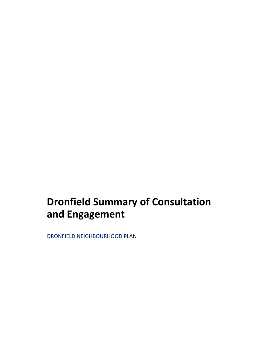## **Dronfield Summary of Consultation and Engagement**

DRONFIELD NEIGHBOURHOOD PLAN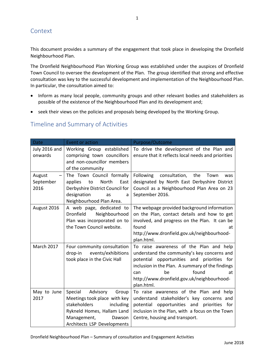## **Context**

This document provides a summary of the engagement that took place in developing the Dronfield Neighbourhood Plan.

1

The Dronfield Neighbourhood Plan Working Group was established under the auspices of Dronfield Town Council to oversee the development of the Plan. The group identified that strong and effective consultation was key to the successful development and implementation of the Neighbourhood Plan. In particular, the consultation aimed to:

- Inform as many local people, community groups and other relevant bodies and stakeholders as possible of the existence of the Neighbourhood Plan and its development and;
- seek their views on the policies and proposals being developed by the Working Group.

## Timeline and Summary of Activities

| <b>Date</b>                 | Event or action                                                                                                                                                                 | Purpose/Outcome                                                                                                                                                                                                                                                                  |
|-----------------------------|---------------------------------------------------------------------------------------------------------------------------------------------------------------------------------|----------------------------------------------------------------------------------------------------------------------------------------------------------------------------------------------------------------------------------------------------------------------------------|
| July 2016 and<br>onwards    | Working Group established<br>comprising town councillors<br>and non-councillor members<br>of the community                                                                      | To drive the development of the Plan and<br>ensure that it reflects local needs and priorities                                                                                                                                                                                   |
| August<br>September<br>2016 | The Town Council formally<br>applies<br>North<br>to<br>East<br>Derbyshire District Council for<br>designation<br>as<br>a<br>Neighbourhood Plan Area.                            | consultation,<br><b>Following</b><br>the<br>Town<br>was<br>designated by North East Derbyshire District<br>Council as a Neighbourhood Plan Area on 23<br>September 2016.                                                                                                         |
| August 2016                 | A web page, dedicated to<br>Neighbourhood<br><b>Dronfield</b><br>Plan was incorporated on to<br>the Town Council website.                                                       | The webpage provided background information<br>on the Plan, contact details and how to get<br>involved, and progress on the Plan. It can be<br>found<br>at<br>http://www.dronfield.gov.uk/neighbourhood-<br>plan.html.                                                           |
| March 2017                  | Four community consultation<br>events/exhibitions<br>drop-in<br>took place in the Civic Hall                                                                                    | To raise awareness of the Plan and help<br>understand the community's key concerns and<br>potential opportunities and priorities for<br>inclusion in the Plan. A summary of the findings<br>found<br>be<br>at<br>can<br>http://www.dronfield.gov.uk/neighbourhood-<br>plan.html. |
| May to June<br>2017         | Special<br>Advisory<br>Group<br>Meetings took place with key<br>stakeholders<br>including<br>Rykneld Homes, Hallam Land<br>Management,<br>Dawson<br>Architects LSP Developments | To raise awareness of the Plan and help<br>understand stakeholder's key concerns and<br>potential opportunities and priorities for<br>inclusion in the Plan, with a focus on the Town<br>Centre, housing and transport.                                                          |